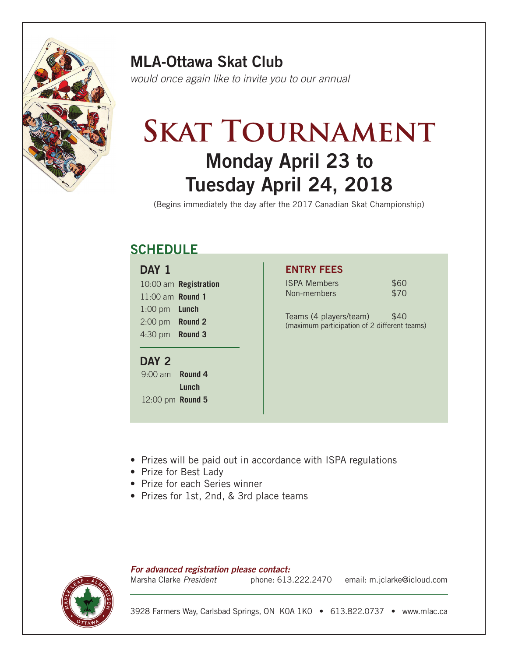

### MLA-Ottawa Skat Club

*would once again like to invite you to our annual*

## Monday April 23 to Tuesday April 24, 2018 **SKAT TOURNAMENT**

(Begins immediately the day after the 2017 Canadian Skat Championship)

## **SCHEDULE**

| DAY 1              |                       |
|--------------------|-----------------------|
|                    | 10:00 am Registration |
| $11:00$ am Round 1 |                       |
| $1:00$ pm          | Lunch                 |
| $2:00$ pm          | <b>Round 2</b>        |
| 4:30 pm            | <b>Round 3</b>        |

#### DAY<sub>2</sub>

9:00 am **Round 4 Lunch** 12:00 pm **Round 5**

#### ENTRY FEES

| <b>ISPA Members</b> | \$60 |
|---------------------|------|
| Non-members         | \$70 |

Teams (4 players/team) \$40 (maximum participation of 2 different teams)

- Prizes will be paid out in accordance with ISPA regulations
- Prize for Best Lady
- Prize for each Series winner
- Prizes for 1st, 2nd, & 3rd place teams

*For advanced registration please contact:*

phone: 613.222.2470 email: m.jclarke@icloud.com